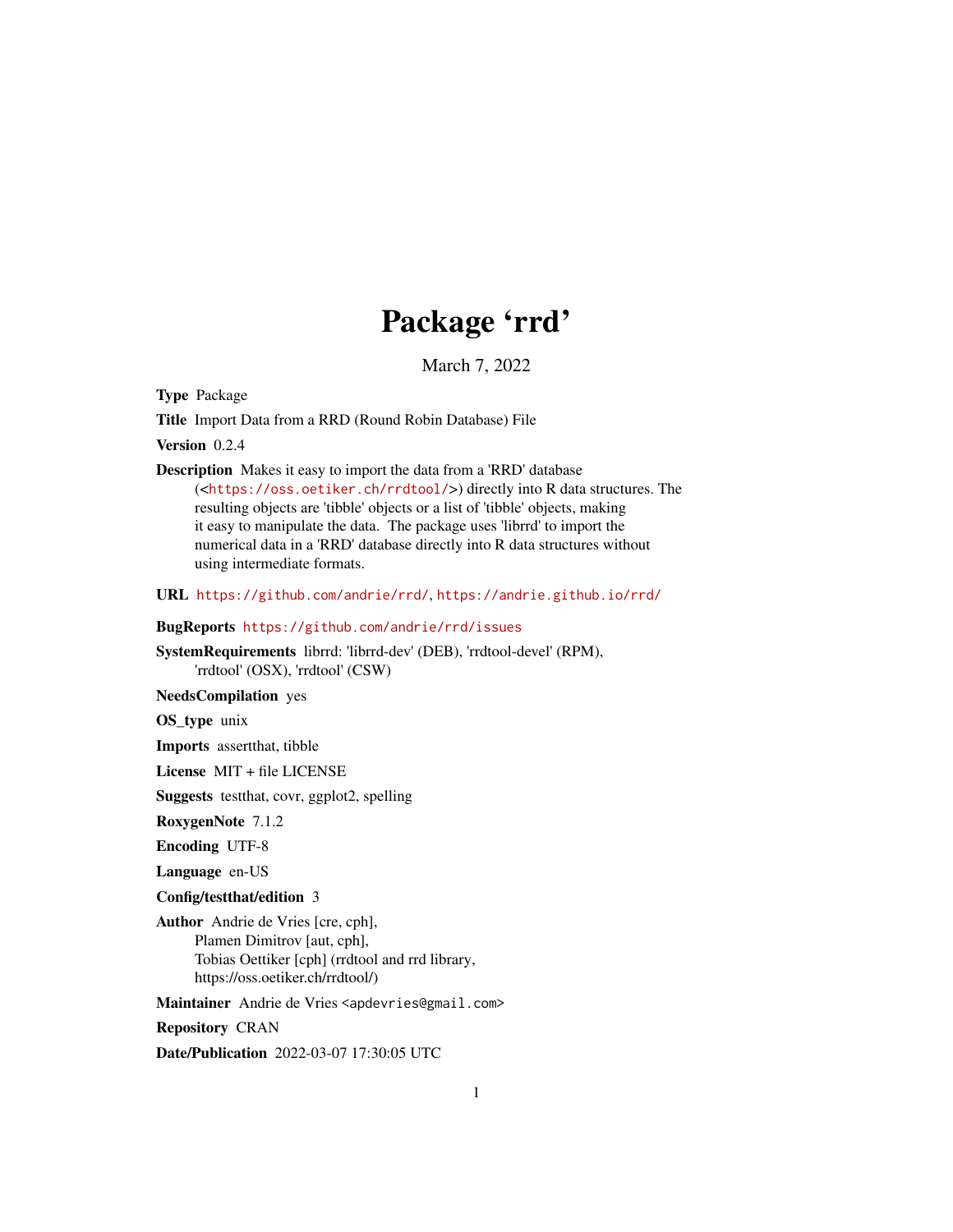## Package 'rrd'

March 7, 2022

Type Package

Title Import Data from a RRD (Round Robin Database) File

Version 0.2.4

Description Makes it easy to import the data from a 'RRD' database (<<https://oss.oetiker.ch/rrdtool/>>) directly into R data structures. The resulting objects are 'tibble' objects or a list of 'tibble' objects, making it easy to manipulate the data. The package uses 'librrd' to import the numerical data in a 'RRD' database directly into R data structures without using intermediate formats.

URL <https://github.com/andrie/rrd/>, <https://andrie.github.io/rrd/>

#### BugReports <https://github.com/andrie/rrd/issues>

SystemRequirements librrd: 'librrd-dev' (DEB), 'rrdtool-devel' (RPM), 'rrdtool' (OSX), 'rrdtool' (CSW)

NeedsCompilation yes

OS\_type unix

Imports assertthat, tibble

License MIT + file LICENSE

Suggests testthat, covr, ggplot2, spelling

RoxygenNote 7.1.2

Encoding UTF-8

Language en-US

Config/testthat/edition 3

Author Andrie de Vries [cre, cph], Plamen Dimitrov [aut, cph], Tobias Oettiker [cph] (rrdtool and rrd library, https://oss.oetiker.ch/rrdtool/)

Maintainer Andrie de Vries <apdevries@gmail.com>

Repository CRAN

Date/Publication 2022-03-07 17:30:05 UTC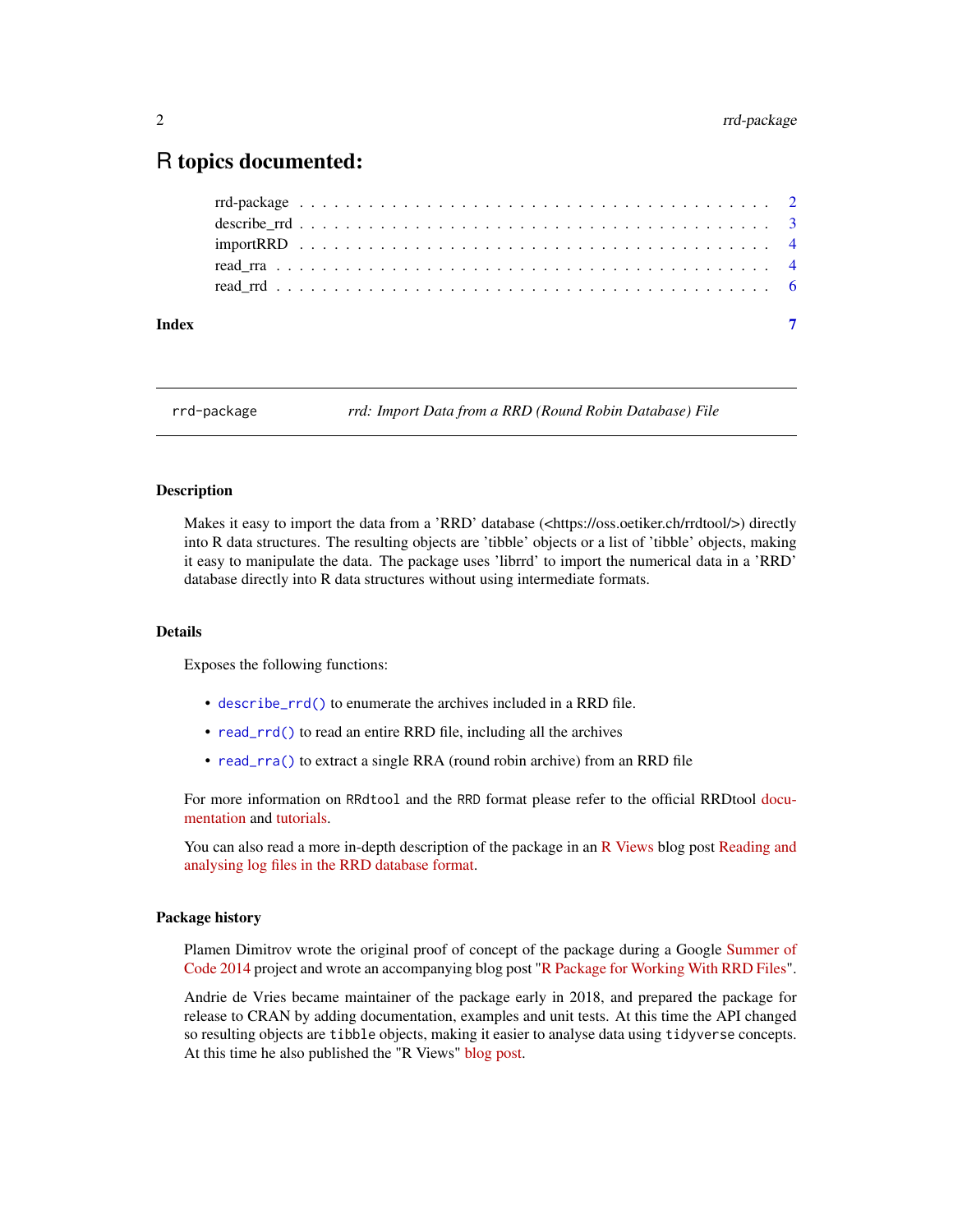### <span id="page-1-0"></span>R topics documented:

| Index |  |  |  |  |  |  |  |  |  |  |  |  |  |  |  |  |  |  |
|-------|--|--|--|--|--|--|--|--|--|--|--|--|--|--|--|--|--|--|
|       |  |  |  |  |  |  |  |  |  |  |  |  |  |  |  |  |  |  |
|       |  |  |  |  |  |  |  |  |  |  |  |  |  |  |  |  |  |  |
|       |  |  |  |  |  |  |  |  |  |  |  |  |  |  |  |  |  |  |
|       |  |  |  |  |  |  |  |  |  |  |  |  |  |  |  |  |  |  |
|       |  |  |  |  |  |  |  |  |  |  |  |  |  |  |  |  |  |  |

rrd-package *rrd: Import Data from a RRD (Round Robin Database) File*

#### Description

Makes it easy to import the data from a 'RRD' database (<https://oss.oetiker.ch/rrdtool/>) directly into R data structures. The resulting objects are 'tibble' objects or a list of 'tibble' objects, making it easy to manipulate the data. The package uses 'librrd' to import the numerical data in a 'RRD' database directly into R data structures without using intermediate formats.

#### Details

Exposes the following functions:

- [describe\\_rrd\(\)](#page-2-1) to enumerate the archives included in a RRD file.
- [read\\_rrd\(\)](#page-5-1) to read an entire RRD file, including all the archives
- [read\\_rra\(\)](#page-3-1) to extract a single RRA (round robin archive) from an RRD file

For more information on RRdtool and the RRD format please refer to the official RRDtool [docu](https://oss.oetiker.ch/rrdtool/doc/index.en.html)[mentation](https://oss.oetiker.ch/rrdtool/doc/index.en.html) and [tutorials.](https://oss.oetiker.ch/rrdtool/tut/index.en.html)

You can also read a more in-depth description of the package in an [R Views](https://rviews.rstudio.com/) blog post [Reading and](https://rviews.rstudio.com/2018/06/20/reading-rrd-files/) [analysing log files in the RRD database format.](https://rviews.rstudio.com/2018/06/20/reading-rrd-files/)

#### Package history

Plamen Dimitrov wrote the original proof of concept of the package during a Google [Summer of](https://www.google-melange.com/archive/gsoc/2014) [Code 2014](https://www.google-melange.com/archive/gsoc/2014) project and wrote an accompanying blog post ["R Package for Working With RRD Files"](http://plamendimitrov.net/blog/2014/08/09/r-package-for-working-with-rrd-files/).

Andrie de Vries became maintainer of the package early in 2018, and prepared the package for release to CRAN by adding documentation, examples and unit tests. At this time the API changed so resulting objects are tibble objects, making it easier to analyse data using tidyverse concepts. At this time he also published the "R Views" [blog post.](https://rviews.rstudio.com/2018/06/20/reading-rrd-files/)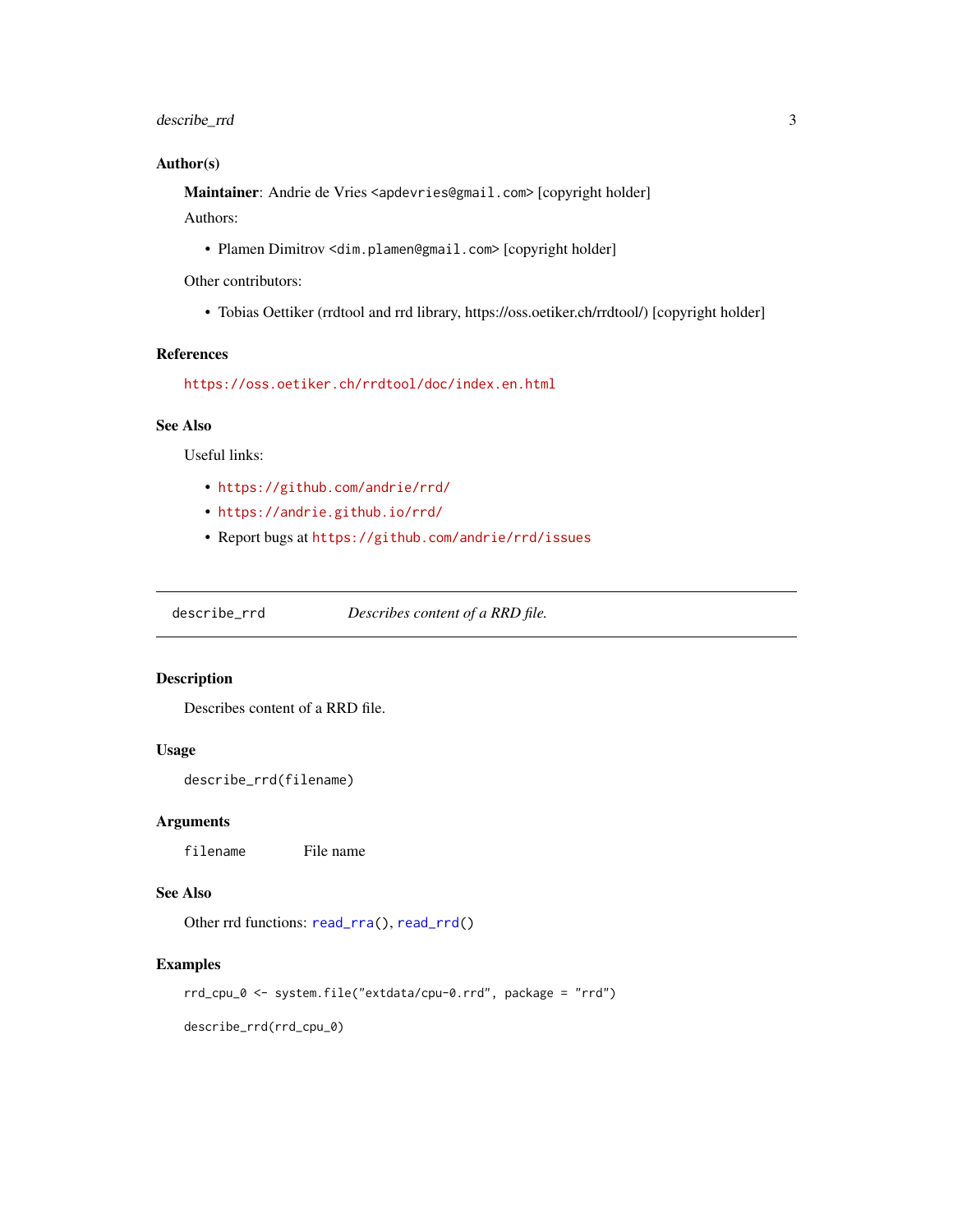#### <span id="page-2-0"></span>describe\_rrd 3

#### Author(s)

Maintainer: Andrie de Vries <apdevries@gmail.com> [copyright holder] Authors:

• Plamen Dimitrov <dim.plamen@gmail.com> [copyright holder]

Other contributors:

• Tobias Oettiker (rrdtool and rrd library, https://oss.oetiker.ch/rrdtool/) [copyright holder]

#### References

<https://oss.oetiker.ch/rrdtool/doc/index.en.html>

#### See Also

Useful links:

- <https://github.com/andrie/rrd/>
- <https://andrie.github.io/rrd/>
- Report bugs at <https://github.com/andrie/rrd/issues>

<span id="page-2-1"></span>describe\_rrd *Describes content of a RRD file.*

#### Description

Describes content of a RRD file.

#### Usage

describe\_rrd(filename)

#### Arguments

filename File name

#### See Also

Other rrd functions: [read\\_rra\(](#page-3-1)), [read\\_rrd\(](#page-5-1))

#### Examples

rrd\_cpu\_0 <- system.file("extdata/cpu-0.rrd", package = "rrd")

describe\_rrd(rrd\_cpu\_0)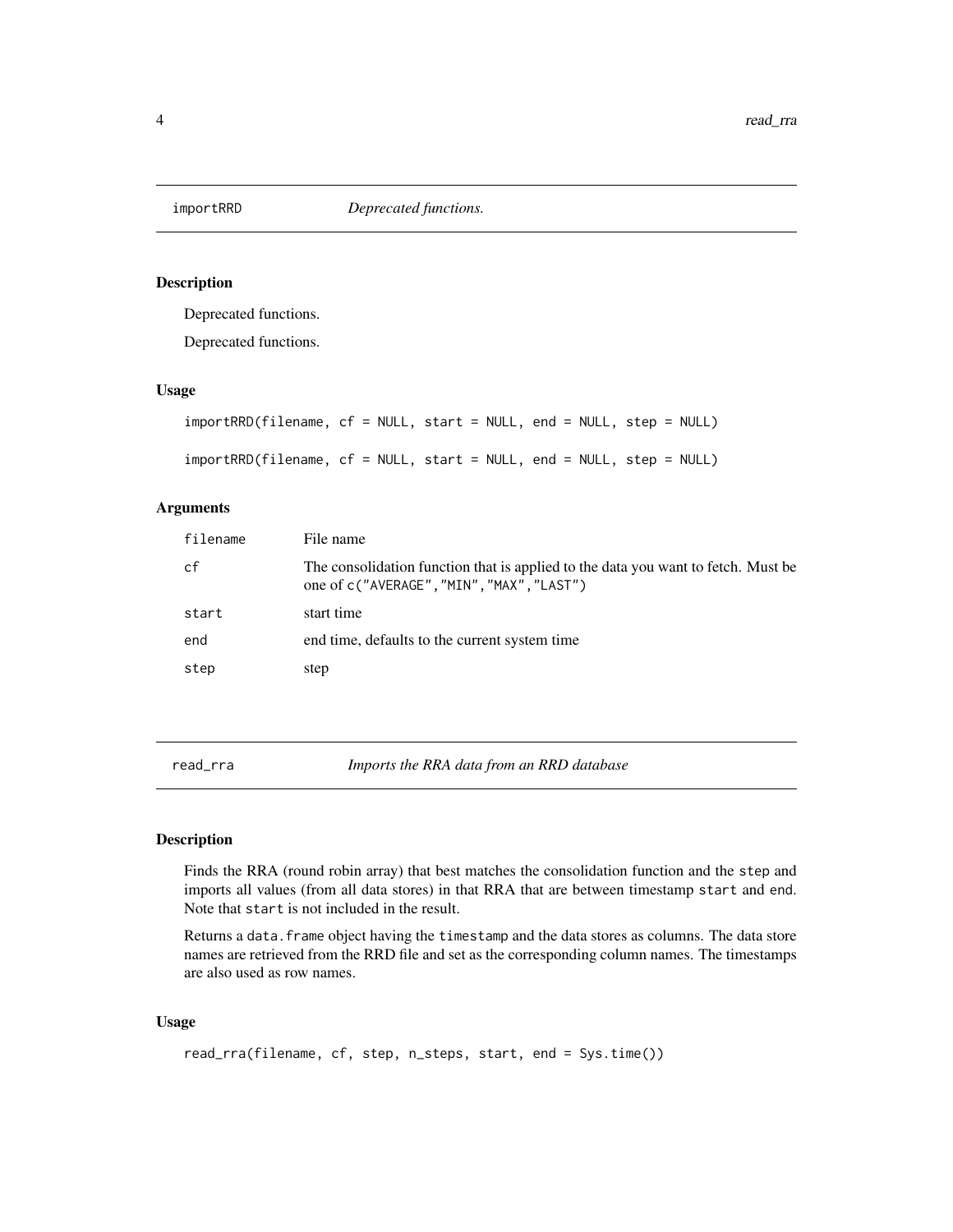<span id="page-3-0"></span>

#### Description

Deprecated functions.

Deprecated functions.

#### Usage

```
importRRD(filename, cf = NULL, start = NULL, end = NULL, step = NULL)
importRRD(filename, cf = NULL, start = NULL, end = NULL, step = NULL)
```
#### Arguments

| filename | File name                                                                                                                      |
|----------|--------------------------------------------------------------------------------------------------------------------------------|
| cf       | The consolidation function that is applied to the data you want to fetch. Must be<br>one of c("AVERAGE", "MIN", "MAX", "LAST") |
| start    | start time                                                                                                                     |
| end      | end time, defaults to the current system time                                                                                  |
| step     | step                                                                                                                           |

<span id="page-3-1"></span>read\_rra *Imports the RRA data from an RRD database*

#### Description

Finds the RRA (round robin array) that best matches the consolidation function and the step and imports all values (from all data stores) in that RRA that are between timestamp start and end. Note that start is not included in the result.

Returns a data. frame object having the timestamp and the data stores as columns. The data store names are retrieved from the RRD file and set as the corresponding column names. The timestamps are also used as row names.

#### Usage

```
read_rra(filename, cf, step, n_steps, start, end = Sys.time())
```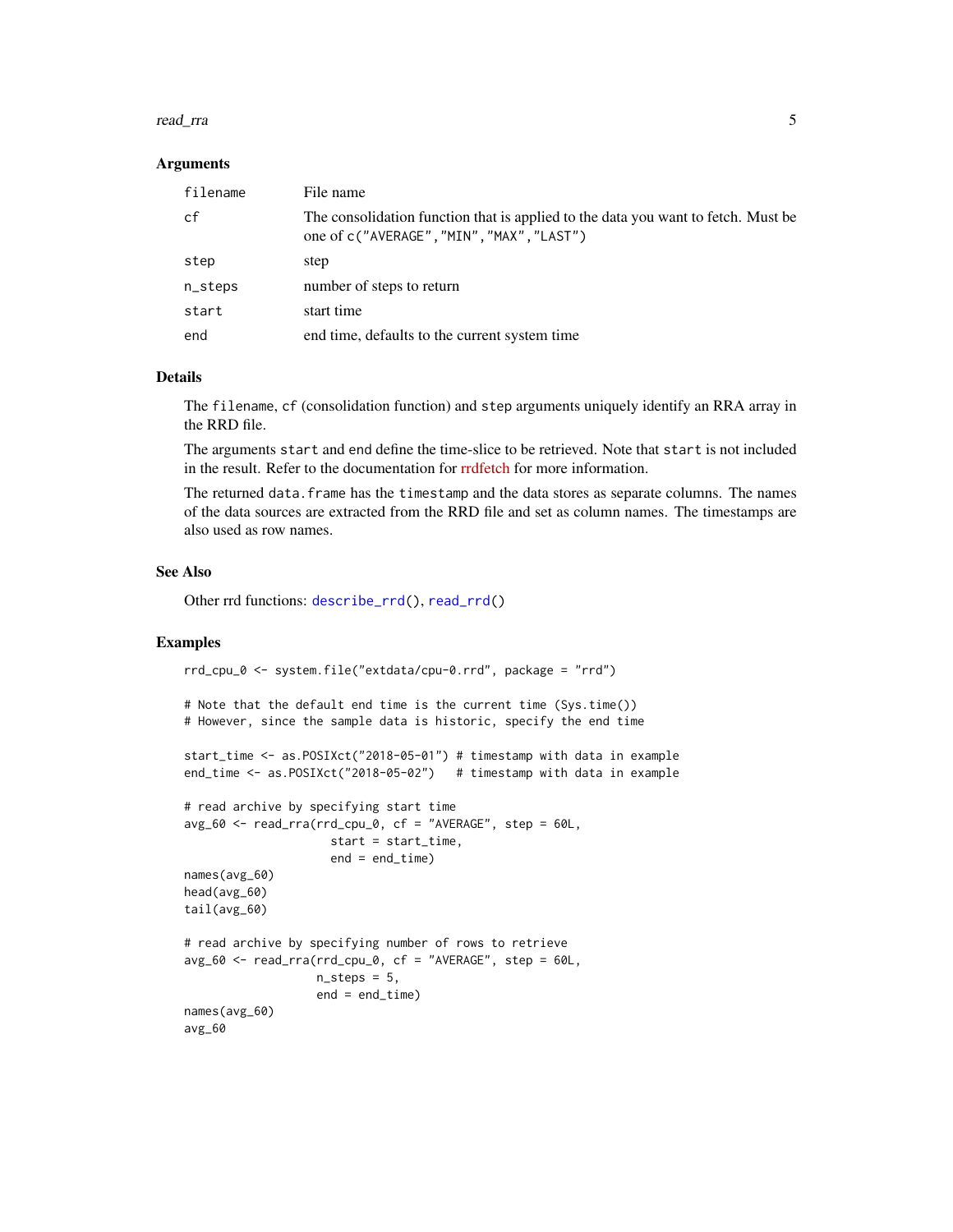#### <span id="page-4-0"></span>read\_rra 5

#### Arguments

| filename | File name                                                                                                                      |
|----------|--------------------------------------------------------------------------------------------------------------------------------|
| cf       | The consolidation function that is applied to the data you want to fetch. Must be<br>one of c("AVERAGE", "MIN", "MAX", "LAST") |
| step     | step                                                                                                                           |
| n_steps  | number of steps to return                                                                                                      |
| start    | start time                                                                                                                     |
| end      | end time, defaults to the current system time                                                                                  |

#### Details

The filename, cf (consolidation function) and step arguments uniquely identify an RRA array in the RRD file.

The arguments start and end define the time-slice to be retrieved. Note that start is not included in the result. Refer to the documentation for [rrdfetch](https://oss.oetiker.ch/rrdtool/doc/rrdfetch.en.html) for more information.

The returned data.frame has the timestamp and the data stores as separate columns. The names of the data sources are extracted from the RRD file and set as column names. The timestamps are also used as row names.

#### See Also

Other rrd functions: [describe\\_rrd\(](#page-2-1)), [read\\_rrd\(](#page-5-1))

#### Examples

```
rrd_cpu_0 <- system.file("extdata/cpu-0.rrd", package = "rrd")
```

```
# Note that the default end time is the current time (Sys.time())
# However, since the sample data is historic, specify the end time
```

```
start_time <- as.POSIXct("2018-05-01") # timestamp with data in example
end_time <- as.POSIXct("2018-05-02") # timestamp with data in example
```

```
# read archive by specifying start time
avg_60 <- read_rra(rrd_cpu_0, cf = "AVERAGE", step = 60L,
                     start = start_time,
                     end = end_time)names(avg_60)
head(avg_60)
tail(avg_60)
# read archive by specifying number of rows to retrieve
avg_60 \leq read_rra(rrd_cpu_0, cf = "AVERAGE", step = 60L,n_{\text{steps}} = 5,
                   end = end_time)
names(avg_60)
avg_60
```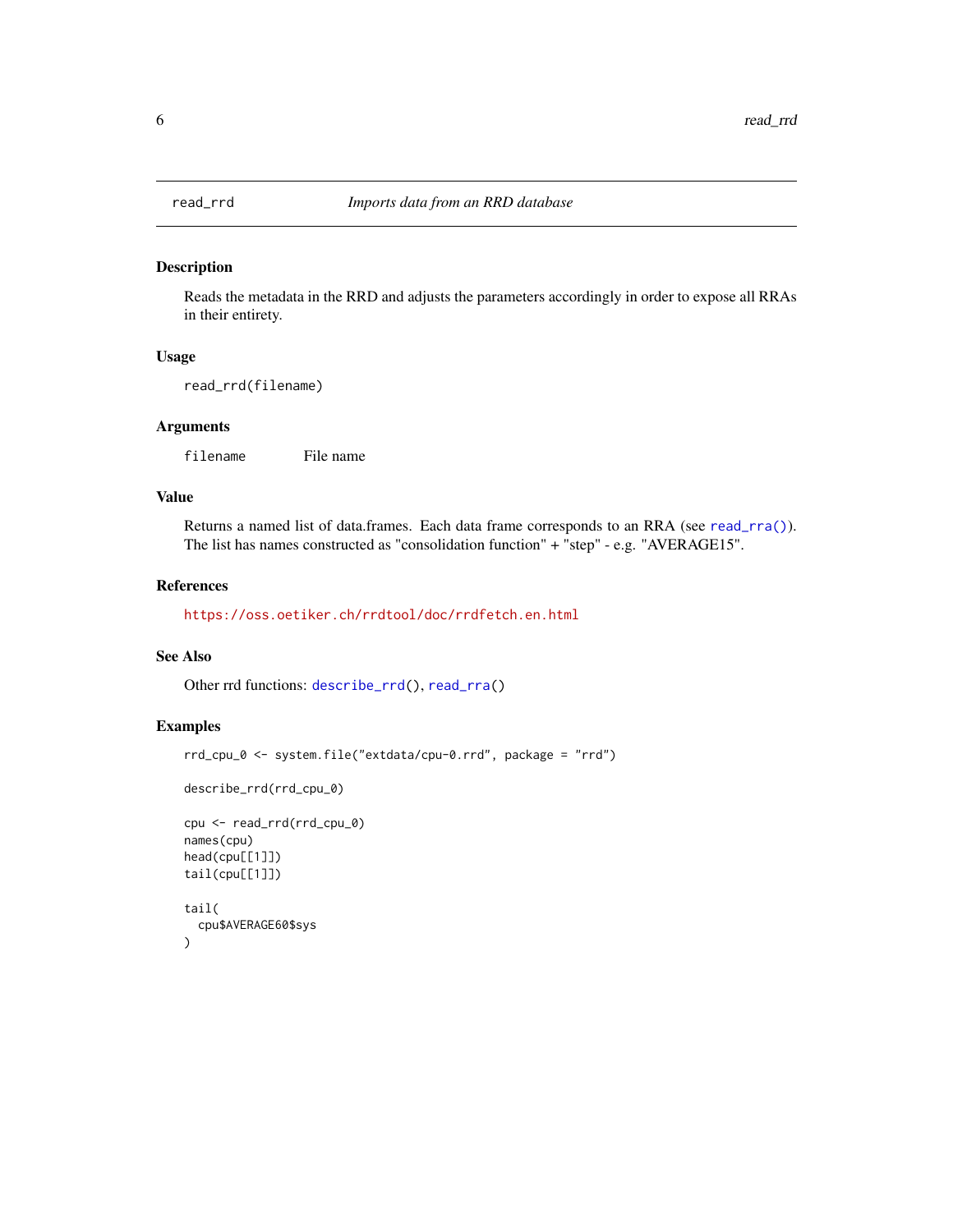<span id="page-5-1"></span><span id="page-5-0"></span>

#### Description

Reads the metadata in the RRD and adjusts the parameters accordingly in order to expose all RRAs in their entirety.

#### Usage

read\_rrd(filename)

#### Arguments

filename File name

#### Value

Returns a named list of data.frames. Each data frame corresponds to an RRA (see [read\\_rra\(\)](#page-3-1)). The list has names constructed as "consolidation function" + "step" - e.g. "AVERAGE15".

#### References

<https://oss.oetiker.ch/rrdtool/doc/rrdfetch.en.html>

#### See Also

Other rrd functions: [describe\\_rrd\(](#page-2-1)), [read\\_rra\(](#page-3-1))

#### Examples

```
rrd_cpu_0 <- system.file("extdata/cpu-0.rrd", package = "rrd")
```

```
describe_rrd(rrd_cpu_0)
```

```
cpu <- read_rrd(rrd_cpu_0)
names(cpu)
head(cpu[[1]])
tail(cpu[[1]])
tail(
  cpu$AVERAGE60$sys
\overline{)}
```